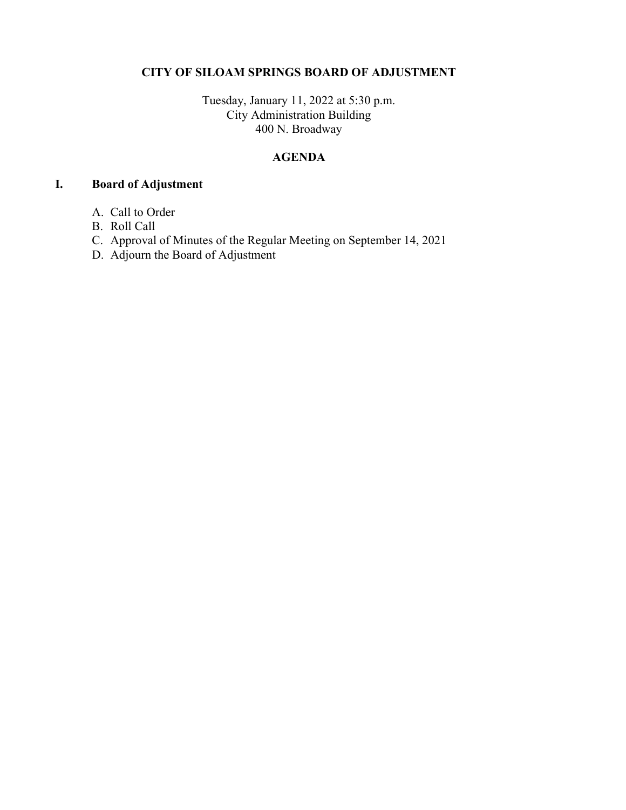## CITY OF SILOAM SPRINGS BOARD OF ADJUSTMENT

Tuesday, January 11, 2022 at 5:30 p.m. City Administration Building 400 N. Broadway

## AGENDA

## I. Board of Adjustment

- A. Call to Order
- B. Roll Call
- C. Approval of Minutes of the Regular Meeting on September 14, 2021
- D. Adjourn the Board of Adjustment